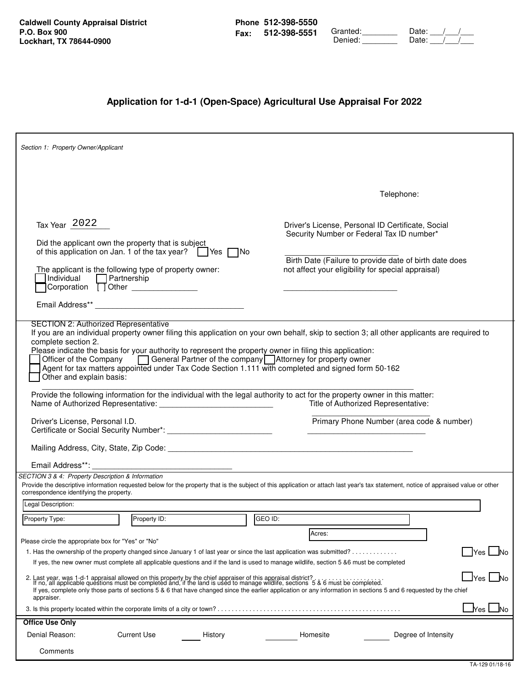**Caldwell County Appraisal District P.O. Box 900 Lockhart, TX 78644-0900**

|             | Phone 512-398-5550 |
|-------------|--------------------|
| <b>Fax:</b> | 512-398-5551       |

| - - - - - - - - -<br>512-398-5551 | Granted: | Date: |
|-----------------------------------|----------|-------|
|                                   | Denied:  | ∩ate: |

## **Application for 1-d-1 (Open-Space) Agricultural Use Appraisal For 2022**

| Section 1: Property Owner/Applicant                                                                                                                                  |                                                                                                                                                                                                                                                                                                                                                                                                                                                                                                                                                                                                     |         |                                                                                                                                                      |                                                        |                    |
|----------------------------------------------------------------------------------------------------------------------------------------------------------------------|-----------------------------------------------------------------------------------------------------------------------------------------------------------------------------------------------------------------------------------------------------------------------------------------------------------------------------------------------------------------------------------------------------------------------------------------------------------------------------------------------------------------------------------------------------------------------------------------------------|---------|------------------------------------------------------------------------------------------------------------------------------------------------------|--------------------------------------------------------|--------------------|
|                                                                                                                                                                      |                                                                                                                                                                                                                                                                                                                                                                                                                                                                                                                                                                                                     |         |                                                                                                                                                      |                                                        |                    |
|                                                                                                                                                                      |                                                                                                                                                                                                                                                                                                                                                                                                                                                                                                                                                                                                     |         |                                                                                                                                                      | Telephone:                                             |                    |
| Tax Year 2022<br>Did the applicant own the property that is subject<br>Individual Partnership<br>Corporation 10 Other<br><b>SECTION 2: Authorized Representative</b> | of this application on Jan. 1 of the tax year? $\Box$ Yes $\Box$ No<br>The applicant is the following type of property owner:                                                                                                                                                                                                                                                                                                                                                                                                                                                                       |         | Driver's License, Personal ID Certificate, Social<br>Security Number or Federal Tax ID number*<br>not affect your eligibility for special appraisal) | Birth Date (Failure to provide date of birth date does |                    |
| complete section 2.<br>Other and explain basis:<br>Name of Authorized Representative:                                                                                | If you are an individual property owner filing this application on your own behalf, skip to section 3; all other applicants are required to<br>Please indicate the basis for your authority to represent the property owner in filing this application:<br>Officer of the Company <b>Contains a General Partner of the company</b> Attorney for property owner<br>Agent for tax matters appointed under Tax Code Section 1.111 with completed and signed form 50-162<br>Provide the following information for the individual with the legal authority to act for the property owner in this matter: |         | Title of Authorized Representative:                                                                                                                  |                                                        |                    |
| Driver's License, Personal I.D.                                                                                                                                      |                                                                                                                                                                                                                                                                                                                                                                                                                                                                                                                                                                                                     |         |                                                                                                                                                      | Primary Phone Number (area code & number)              |                    |
|                                                                                                                                                                      | Mailing Address, City, State, Zip Code: National Common Contract of Contract Common Common Common Common Common                                                                                                                                                                                                                                                                                                                                                                                                                                                                                     |         |                                                                                                                                                      |                                                        |                    |
| Email Address**:                                                                                                                                                     |                                                                                                                                                                                                                                                                                                                                                                                                                                                                                                                                                                                                     |         |                                                                                                                                                      |                                                        |                    |
| SECTION 3 & 4: Property Description & Information<br>correspondence identifying the property.                                                                        | Provide the descriptive information requested below for the property that is the subject of this application or attach last year's tax statement, notice of appraised value or other                                                                                                                                                                                                                                                                                                                                                                                                                |         |                                                                                                                                                      |                                                        |                    |
| Legal Description:                                                                                                                                                   |                                                                                                                                                                                                                                                                                                                                                                                                                                                                                                                                                                                                     |         |                                                                                                                                                      |                                                        |                    |
| Property Type:                                                                                                                                                       | Property ID:                                                                                                                                                                                                                                                                                                                                                                                                                                                                                                                                                                                        | GEO ID: |                                                                                                                                                      |                                                        |                    |
| Please circle the appropriate box for "Yes" or "No"                                                                                                                  |                                                                                                                                                                                                                                                                                                                                                                                                                                                                                                                                                                                                     |         | Acres:                                                                                                                                               |                                                        |                    |
|                                                                                                                                                                      | 1. Has the ownership of the property changed since January 1 of last year or since the last application was submitted?                                                                                                                                                                                                                                                                                                                                                                                                                                                                              |         |                                                                                                                                                      |                                                        | Yes<br>INo         |
|                                                                                                                                                                      | If yes, the new owner must complete all applicable questions and if the land is used to manage wildlife, section 5 &6 must be completed                                                                                                                                                                                                                                                                                                                                                                                                                                                             |         |                                                                                                                                                      |                                                        |                    |
| appraiser.                                                                                                                                                           | 2. Last year, was 1-d-1 appraisal allowed on this property by the chief appraiser of this appraisal district?<br>If no, all applicable questions must be completed and, if the land is used to manage wildlife, sections 5 & 6 mu<br>If yes, complete only those parts of sections 5 & 6 that have changed since the earlier application or any information in sections 5 and 6 requested by the chief                                                                                                                                                                                              |         |                                                                                                                                                      |                                                        | <b>I</b> Yes<br>N٥ |
|                                                                                                                                                                      | 3. Is this property located within the corporate limits of a city or town?                                                                                                                                                                                                                                                                                                                                                                                                                                                                                                                          |         |                                                                                                                                                      |                                                        | Yes<br>No          |
| <b>Office Use Only</b>                                                                                                                                               |                                                                                                                                                                                                                                                                                                                                                                                                                                                                                                                                                                                                     |         |                                                                                                                                                      |                                                        |                    |
| Denial Reason:                                                                                                                                                       | <b>Current Use</b><br>History                                                                                                                                                                                                                                                                                                                                                                                                                                                                                                                                                                       |         | Homesite                                                                                                                                             | Degree of Intensity                                    |                    |
| Comments                                                                                                                                                             |                                                                                                                                                                                                                                                                                                                                                                                                                                                                                                                                                                                                     |         |                                                                                                                                                      |                                                        |                    |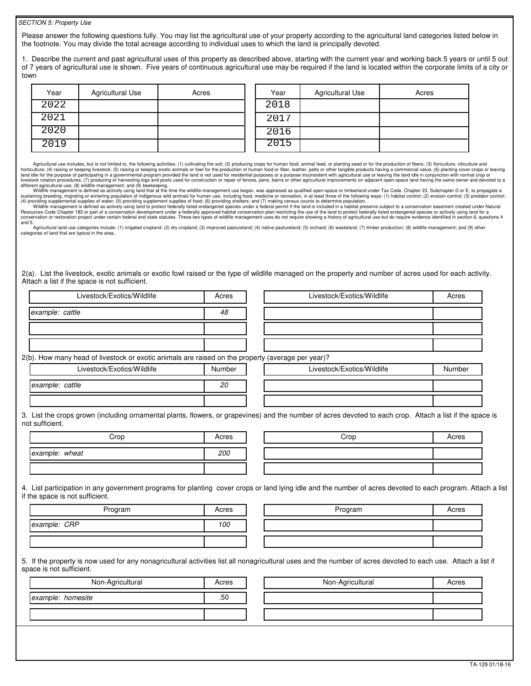## *SECTION 5: Property Use*

Please answer the following questions fully. You may list the agricultural use of your property according to the agricultural land categories listed below in the footnote. You may divide the total acreage according to individual uses to which the land is principally devoted.

1. Describe the current and past agricultural uses of this property as described above, starting with the current year and working back 5 years or until 5 out of 7 years of agricultural use is shown. Five years of continuous agricultural use may be required if the land is located within the corporate limits of a city or town

| Year | Agricultural Use | Acres | Year | Agricultural Use | Acres |
|------|------------------|-------|------|------------------|-------|
| 2022 |                  |       | 2018 |                  |       |
| 2021 |                  |       | 2017 |                  |       |
| 2020 |                  |       | 2016 |                  |       |
| 2019 |                  |       | 2015 |                  |       |

Agricultural use includes, but is not limited to, the following activities: (1) cultivating the soil; (2) producing crops for human food, animal feed, or planting seed or for the production of fibers; (3) floriculture, vit hand idle for the purpose of participating in a governmental program provided the land is of two for the production of human food or filebre in endicated head to residential purposes or a purpose inconsistent with agricult

Wildife management is defined as actively using land to protect federally listed endangered species under a federal permit if the land is included in a habitat preserve subject to a conservation easement created under Natu and 5.

Agricultural land use categories include: (1) irrigated cropland; (2) dry cropland; (3) improved pastureland; (4) native pastureland; (5) orchard; (6) wasteland; (7) timber production; (8) wildlife management; and (9) othe

2(a). List the livestock, exotic animals or exotic fowl raised or the type of wildlife managed on the property and number of acres used for each activity. Attach a list if the space is not sufficient.

| Livestock/Exotics/Wildlife                                                                                                                                                                     | Acres  | Livestock/Exotics/Wildlife | Acres  |
|------------------------------------------------------------------------------------------------------------------------------------------------------------------------------------------------|--------|----------------------------|--------|
| example: cattle                                                                                                                                                                                | 48     |                            |        |
|                                                                                                                                                                                                |        |                            |        |
|                                                                                                                                                                                                |        |                            |        |
| 2(b). How many head of livestock or exotic animals are raised on the property (average per year)?                                                                                              |        |                            |        |
| Livestock/Exotics/Wildlife                                                                                                                                                                     | Number | Livestock/Exotics/Wildlife | Number |
| example: cattle                                                                                                                                                                                | 20     |                            |        |
|                                                                                                                                                                                                |        |                            |        |
| 3. List the crops grown (including ornamental plants, flowers, or grapevines) and the number of acres devoted to each crop. Attach a list if the space is<br>not sufficient.                   |        |                            |        |
|                                                                                                                                                                                                |        |                            |        |
| Crop                                                                                                                                                                                           | Acres  | Crop                       | Acres  |
| example: wheat                                                                                                                                                                                 | 200    |                            |        |
|                                                                                                                                                                                                |        |                            |        |
| 4. List participation in any government programs for planting cover crops or land lying idle and the number of acres devoted to each program. Attach a list<br>if the space is not sufficient. |        |                            |        |
| Program                                                                                                                                                                                        | Acres  | Program                    | Acres  |
| example: CRP                                                                                                                                                                                   | 100    |                            |        |

| Non-Agricultural  | Acres | Non-Agricultural<br>Acres |  |
|-------------------|-------|---------------------------|--|
| example: homesite | .50   |                           |  |
|                   |       |                           |  |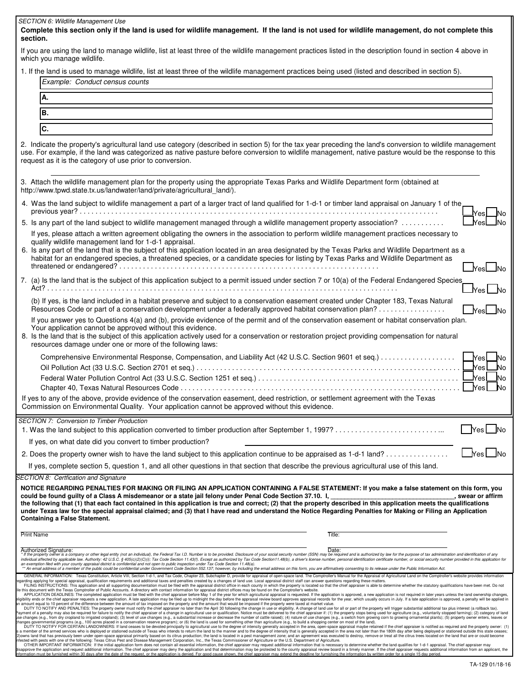| <b>SECTION 6: Wildlife Management Use</b><br>Complete this section only if the land is used for wildlife management. If the land is not used for wildlife management, do not complete this                                                                                                                                                                                                                                                                                                                                                                                                                                                                                                                                                                                                                                                                                                                                                                                                                                                                                                                                                                                                                                                                                                                                                                                                                                                                                                                                                                                                                                                                                                                                                                                                                                                                                                                                                                                                                                                                                                                                                                                                                                                                                                                                                                                                                                                                                                                                                                                                                                                                                                                                                                                                                                                                                                                                                                                                                                                                                                                                                                                                                                                                                                                                                                                                                                                                                                                                                                                                  |
|---------------------------------------------------------------------------------------------------------------------------------------------------------------------------------------------------------------------------------------------------------------------------------------------------------------------------------------------------------------------------------------------------------------------------------------------------------------------------------------------------------------------------------------------------------------------------------------------------------------------------------------------------------------------------------------------------------------------------------------------------------------------------------------------------------------------------------------------------------------------------------------------------------------------------------------------------------------------------------------------------------------------------------------------------------------------------------------------------------------------------------------------------------------------------------------------------------------------------------------------------------------------------------------------------------------------------------------------------------------------------------------------------------------------------------------------------------------------------------------------------------------------------------------------------------------------------------------------------------------------------------------------------------------------------------------------------------------------------------------------------------------------------------------------------------------------------------------------------------------------------------------------------------------------------------------------------------------------------------------------------------------------------------------------------------------------------------------------------------------------------------------------------------------------------------------------------------------------------------------------------------------------------------------------------------------------------------------------------------------------------------------------------------------------------------------------------------------------------------------------------------------------------------------------------------------------------------------------------------------------------------------------------------------------------------------------------------------------------------------------------------------------------------------------------------------------------------------------------------------------------------------------------------------------------------------------------------------------------------------------------------------------------------------------------------------------------------------------------------------------------------------------------------------------------------------------------------------------------------------------------------------------------------------------------------------------------------------------------------------------------------------------------------------------------------------------------------------------------------------------------------------------------------------------------------------------------------------------|
| section.<br>If you are using the land to manage wildlife, list at least three of the wildlife management practices listed in the description found in section 4 above in<br>which you manage wildlife.                                                                                                                                                                                                                                                                                                                                                                                                                                                                                                                                                                                                                                                                                                                                                                                                                                                                                                                                                                                                                                                                                                                                                                                                                                                                                                                                                                                                                                                                                                                                                                                                                                                                                                                                                                                                                                                                                                                                                                                                                                                                                                                                                                                                                                                                                                                                                                                                                                                                                                                                                                                                                                                                                                                                                                                                                                                                                                                                                                                                                                                                                                                                                                                                                                                                                                                                                                                      |
| 1. If the land is used to manage wildlife, list at least three of the wildlife management practices being used (listed and described in section 5).<br>Example: Conduct census counts                                                                                                                                                                                                                                                                                                                                                                                                                                                                                                                                                                                                                                                                                                                                                                                                                                                                                                                                                                                                                                                                                                                                                                                                                                                                                                                                                                                                                                                                                                                                                                                                                                                                                                                                                                                                                                                                                                                                                                                                                                                                                                                                                                                                                                                                                                                                                                                                                                                                                                                                                                                                                                                                                                                                                                                                                                                                                                                                                                                                                                                                                                                                                                                                                                                                                                                                                                                                       |
|                                                                                                                                                                                                                                                                                                                                                                                                                                                                                                                                                                                                                                                                                                                                                                                                                                                                                                                                                                                                                                                                                                                                                                                                                                                                                                                                                                                                                                                                                                                                                                                                                                                                                                                                                                                                                                                                                                                                                                                                                                                                                                                                                                                                                                                                                                                                                                                                                                                                                                                                                                                                                                                                                                                                                                                                                                                                                                                                                                                                                                                                                                                                                                                                                                                                                                                                                                                                                                                                                                                                                                                             |
| А.                                                                                                                                                                                                                                                                                                                                                                                                                                                                                                                                                                                                                                                                                                                                                                                                                                                                                                                                                                                                                                                                                                                                                                                                                                                                                                                                                                                                                                                                                                                                                                                                                                                                                                                                                                                                                                                                                                                                                                                                                                                                                                                                                                                                                                                                                                                                                                                                                                                                                                                                                                                                                                                                                                                                                                                                                                                                                                                                                                                                                                                                                                                                                                                                                                                                                                                                                                                                                                                                                                                                                                                          |
| B.                                                                                                                                                                                                                                                                                                                                                                                                                                                                                                                                                                                                                                                                                                                                                                                                                                                                                                                                                                                                                                                                                                                                                                                                                                                                                                                                                                                                                                                                                                                                                                                                                                                                                                                                                                                                                                                                                                                                                                                                                                                                                                                                                                                                                                                                                                                                                                                                                                                                                                                                                                                                                                                                                                                                                                                                                                                                                                                                                                                                                                                                                                                                                                                                                                                                                                                                                                                                                                                                                                                                                                                          |
| lc.                                                                                                                                                                                                                                                                                                                                                                                                                                                                                                                                                                                                                                                                                                                                                                                                                                                                                                                                                                                                                                                                                                                                                                                                                                                                                                                                                                                                                                                                                                                                                                                                                                                                                                                                                                                                                                                                                                                                                                                                                                                                                                                                                                                                                                                                                                                                                                                                                                                                                                                                                                                                                                                                                                                                                                                                                                                                                                                                                                                                                                                                                                                                                                                                                                                                                                                                                                                                                                                                                                                                                                                         |
| 2. Indicate the property's agricultural land use category (described in section 5) for the tax year preceding the land's conversion to wildlife management<br>use. For example, if the land was categorized as native pasture before conversion to wildlife management, native pasture would be the response to this<br>request as it is the category of use prior to conversion.                                                                                                                                                                                                                                                                                                                                                                                                                                                                                                                                                                                                                                                                                                                                                                                                                                                                                                                                                                                                                                                                                                                                                                                                                                                                                                                                                                                                                                                                                                                                                                                                                                                                                                                                                                                                                                                                                                                                                                                                                                                                                                                                                                                                                                                                                                                                                                                                                                                                                                                                                                                                                                                                                                                                                                                                                                                                                                                                                                                                                                                                                                                                                                                                           |
| 3. Attach the wildlife management plan for the property using the appropriate Texas Parks and Wildlife Department form (obtained at<br>http://www.tpwd.state.tx.us/landwater/land/private/agricultural land/).                                                                                                                                                                                                                                                                                                                                                                                                                                                                                                                                                                                                                                                                                                                                                                                                                                                                                                                                                                                                                                                                                                                                                                                                                                                                                                                                                                                                                                                                                                                                                                                                                                                                                                                                                                                                                                                                                                                                                                                                                                                                                                                                                                                                                                                                                                                                                                                                                                                                                                                                                                                                                                                                                                                                                                                                                                                                                                                                                                                                                                                                                                                                                                                                                                                                                                                                                                              |
| 4. Was the land subject to wildlife management a part of a larger tract of land qualified for 1-d-1 or timber land appraisal on January 1 of the                                                                                                                                                                                                                                                                                                                                                                                                                                                                                                                                                                                                                                                                                                                                                                                                                                                                                                                                                                                                                                                                                                                                                                                                                                                                                                                                                                                                                                                                                                                                                                                                                                                                                                                                                                                                                                                                                                                                                                                                                                                                                                                                                                                                                                                                                                                                                                                                                                                                                                                                                                                                                                                                                                                                                                                                                                                                                                                                                                                                                                                                                                                                                                                                                                                                                                                                                                                                                                            |
| 5. Is any part of the land subject to wildlife management managed through a wildlife management property association?                                                                                                                                                                                                                                                                                                                                                                                                                                                                                                                                                                                                                                                                                                                                                                                                                                                                                                                                                                                                                                                                                                                                                                                                                                                                                                                                                                                                                                                                                                                                                                                                                                                                                                                                                                                                                                                                                                                                                                                                                                                                                                                                                                                                                                                                                                                                                                                                                                                                                                                                                                                                                                                                                                                                                                                                                                                                                                                                                                                                                                                                                                                                                                                                                                                                                                                                                                                                                                                                       |
| If yes, please attach a written agreement obligating the owners in the association to perform wildlife management practices necessary to<br>qualify wildlife management land for 1-d-1 appraisal.<br>6. Is any part of the land that is the subject of this application located in an area designated by the Texas Parks and Wildlife Department as a<br>habitat for an endangered species, a threatened species, or a candidate species for listing by Texas Parks and Wildlife Department as<br>_lYes∟lNo                                                                                                                                                                                                                                                                                                                                                                                                                                                                                                                                                                                                                                                                                                                                                                                                                                                                                                                                                                                                                                                                                                                                                                                                                                                                                                                                                                                                                                                                                                                                                                                                                                                                                                                                                                                                                                                                                                                                                                                                                                                                                                                                                                                                                                                                                                                                                                                                                                                                                                                                                                                                                                                                                                                                                                                                                                                                                                                                                                                                                                                                                 |
| 7. (a) Is the land that is the subject of this application subject to a permit issued under section 7 or 10(a) of the Federal Endangered Species<br> Yes  No                                                                                                                                                                                                                                                                                                                                                                                                                                                                                                                                                                                                                                                                                                                                                                                                                                                                                                                                                                                                                                                                                                                                                                                                                                                                                                                                                                                                                                                                                                                                                                                                                                                                                                                                                                                                                                                                                                                                                                                                                                                                                                                                                                                                                                                                                                                                                                                                                                                                                                                                                                                                                                                                                                                                                                                                                                                                                                                                                                                                                                                                                                                                                                                                                                                                                                                                                                                                                                |
| (b) If yes, is the land included in a habitat preserve and subject to a conservation easement created under Chapter 183, Texas Natural<br><b>No</b><br>Yesl<br>If you answer yes to Questions 4(a) and (b), provide evidence of the permit and of the conservation easement or habitat conservation plan.                                                                                                                                                                                                                                                                                                                                                                                                                                                                                                                                                                                                                                                                                                                                                                                                                                                                                                                                                                                                                                                                                                                                                                                                                                                                                                                                                                                                                                                                                                                                                                                                                                                                                                                                                                                                                                                                                                                                                                                                                                                                                                                                                                                                                                                                                                                                                                                                                                                                                                                                                                                                                                                                                                                                                                                                                                                                                                                                                                                                                                                                                                                                                                                                                                                                                   |
| Your application cannot be approved without this evidence.<br>8. Is the land that is the subject of this application actively used for a conservation or restoration project providing compensation for natural<br>resources damage under one or more of the following laws:                                                                                                                                                                                                                                                                                                                                                                                                                                                                                                                                                                                                                                                                                                                                                                                                                                                                                                                                                                                                                                                                                                                                                                                                                                                                                                                                                                                                                                                                                                                                                                                                                                                                                                                                                                                                                                                                                                                                                                                                                                                                                                                                                                                                                                                                                                                                                                                                                                                                                                                                                                                                                                                                                                                                                                                                                                                                                                                                                                                                                                                                                                                                                                                                                                                                                                                |
| _lYes l<br>JNo<br>_<br>Yes<br>No.<br>$\sf N$ es $\sf I$<br>_No<br>$\vert$ Yes $\vert$<br>_No<br>If yes to any of the above, provide evidence of the conservation easement, deed restriction, or settlement agreement with the Texas                                                                                                                                                                                                                                                                                                                                                                                                                                                                                                                                                                                                                                                                                                                                                                                                                                                                                                                                                                                                                                                                                                                                                                                                                                                                                                                                                                                                                                                                                                                                                                                                                                                                                                                                                                                                                                                                                                                                                                                                                                                                                                                                                                                                                                                                                                                                                                                                                                                                                                                                                                                                                                                                                                                                                                                                                                                                                                                                                                                                                                                                                                                                                                                                                                                                                                                                                         |
| Commission on Environmental Quality. Your application cannot be approved without this evidence.                                                                                                                                                                                                                                                                                                                                                                                                                                                                                                                                                                                                                                                                                                                                                                                                                                                                                                                                                                                                                                                                                                                                                                                                                                                                                                                                                                                                                                                                                                                                                                                                                                                                                                                                                                                                                                                                                                                                                                                                                                                                                                                                                                                                                                                                                                                                                                                                                                                                                                                                                                                                                                                                                                                                                                                                                                                                                                                                                                                                                                                                                                                                                                                                                                                                                                                                                                                                                                                                                             |
| <b>SECTION 7: Conversion to Timber Production</b><br>Nes No                                                                                                                                                                                                                                                                                                                                                                                                                                                                                                                                                                                                                                                                                                                                                                                                                                                                                                                                                                                                                                                                                                                                                                                                                                                                                                                                                                                                                                                                                                                                                                                                                                                                                                                                                                                                                                                                                                                                                                                                                                                                                                                                                                                                                                                                                                                                                                                                                                                                                                                                                                                                                                                                                                                                                                                                                                                                                                                                                                                                                                                                                                                                                                                                                                                                                                                                                                                                                                                                                                                                 |
| If yes, on what date did you convert to timber production?                                                                                                                                                                                                                                                                                                                                                                                                                                                                                                                                                                                                                                                                                                                                                                                                                                                                                                                                                                                                                                                                                                                                                                                                                                                                                                                                                                                                                                                                                                                                                                                                                                                                                                                                                                                                                                                                                                                                                                                                                                                                                                                                                                                                                                                                                                                                                                                                                                                                                                                                                                                                                                                                                                                                                                                                                                                                                                                                                                                                                                                                                                                                                                                                                                                                                                                                                                                                                                                                                                                                  |
|                                                                                                                                                                                                                                                                                                                                                                                                                                                                                                                                                                                                                                                                                                                                                                                                                                                                                                                                                                                                                                                                                                                                                                                                                                                                                                                                                                                                                                                                                                                                                                                                                                                                                                                                                                                                                                                                                                                                                                                                                                                                                                                                                                                                                                                                                                                                                                                                                                                                                                                                                                                                                                                                                                                                                                                                                                                                                                                                                                                                                                                                                                                                                                                                                                                                                                                                                                                                                                                                                                                                                                                             |
| If yes, complete section 5, question 1, and all other questions in that section that describe the previous agricultural use of this land.                                                                                                                                                                                                                                                                                                                                                                                                                                                                                                                                                                                                                                                                                                                                                                                                                                                                                                                                                                                                                                                                                                                                                                                                                                                                                                                                                                                                                                                                                                                                                                                                                                                                                                                                                                                                                                                                                                                                                                                                                                                                                                                                                                                                                                                                                                                                                                                                                                                                                                                                                                                                                                                                                                                                                                                                                                                                                                                                                                                                                                                                                                                                                                                                                                                                                                                                                                                                                                                   |
| <b>SECTION 8: Certfication and Signature</b><br>NOTICE REGARDING PENALTIES FOR MAKING OR FILING AN APPLICATION CONTAINING A FALSE STATEMENT: If you make a false statement on this form, you<br>could be found guilty of a Class A misdemeanor or a state jail felony under Penal Code Section 37.10. I,<br>, swear or affirm<br>the following that (1) that each fact contained in this application is true and correct; (2) that the property described in this application meets the qualifications<br>under Texas law for the special appraisal claimed; and (3) that I have read and understand the Notice Regarding Penalties for Making or Filing an Application<br><b>Containing a False Statement.</b>                                                                                                                                                                                                                                                                                                                                                                                                                                                                                                                                                                                                                                                                                                                                                                                                                                                                                                                                                                                                                                                                                                                                                                                                                                                                                                                                                                                                                                                                                                                                                                                                                                                                                                                                                                                                                                                                                                                                                                                                                                                                                                                                                                                                                                                                                                                                                                                                                                                                                                                                                                                                                                                                                                                                                                                                                                                                             |
| <b>Print Name</b><br>Title:                                                                                                                                                                                                                                                                                                                                                                                                                                                                                                                                                                                                                                                                                                                                                                                                                                                                                                                                                                                                                                                                                                                                                                                                                                                                                                                                                                                                                                                                                                                                                                                                                                                                                                                                                                                                                                                                                                                                                                                                                                                                                                                                                                                                                                                                                                                                                                                                                                                                                                                                                                                                                                                                                                                                                                                                                                                                                                                                                                                                                                                                                                                                                                                                                                                                                                                                                                                                                                                                                                                                                                 |
| Authorized Signature:<br>Date:<br>* If the property owner is a company or other legal entity (not an individual), the Federal Tax I.D. Number is to be provided. Disclosure of your social security number (SSN) may be required and is authorized by law for th<br>individual affected by applicable law. Authority: 42 U.S.C. § 405(c)(2)(C)(i); Tax Code Section 11.43(f). Except as authorized by Tax Code Section 11.48(b), a driver's license number, personal identification certificate nu<br>an exemption filed with your county appraisal district is confidential and not open to public inspection under Tax Code Section 11.48(a).<br>** An email address of a member of the public could be confidential under Government Code Section 552.137; however, by including the email address on this form, you are affirmatively consenting to its release under the Pub                                                                                                                                                                                                                                                                                                                                                                                                                                                                                                                                                                                                                                                                                                                                                                                                                                                                                                                                                                                                                                                                                                                                                                                                                                                                                                                                                                                                                                                                                                                                                                                                                                                                                                                                                                                                                                                                                                                                                                                                                                                                                                                                                                                                                                                                                                                                                                                                                                                                                                                                                                                                                                                                                                           |
| GENERAL INFORMATION: Texas Constitution, Article VIII, Section 1-d-1, and Tax Code, Chapter 23, Subchapter D, provide for appraisal of open-space land. The Comptroller's Manual for the Appraisal of Agricultural Land on the<br>garding applying for special appraisal, qualification requirements and additional taxes and penalties created by a changes of land use. Local appraisal district staff can answer questions regarding these matters.<br>FILING INSTRUCTIONS: This application and all supporting documentation must be filed with the appraisal district office in each county in which the property is located so that the chief appraiser is able to determine wheth<br>ie this document with the Texas Comptroller of Public Accounts. A directory with contact information for appraisal district offices may be found on the Comptroller's website.<br>APPLICATION DEADLINES: The completed application must be filed with the chief appraiser before May 1 of the year for which agricultural appraisal is requested. If the application is approved, a new application is not requi<br>igibility ends or the chief appraiser requests a new application. A late application may be filed up to midnight the day before the apprasal review board approves appraisal records for the year, which usually occurs in Jul<br>n amount equal to 10 percent of the difference between the amount of tax imposed on the property and the amount that would be imposed if the property were taxed at market value.<br>DUTY TO NOTIFY AND PENALTIES: The property owner must notify the chief appraiser no later than the April 30 following the change in use or eligibility. A change of land use for all or part of the property will trigger subs<br>Payment of a penalty may also be required for failure to notify the chief appraiser of a change in agricultural use or qualification. Notice must be delivered to the chief appraiser if: (1) the property stops being used fo<br>ise changes (e.g., from dry cropland to irrigated cropland); (3) level of use changes (e.g., a substantial increase or decrease the number of cattle raised); (4) nature of use changes (e.g., a switch from growing corn to g<br>hanges governmental programs (e.g., 100 acres placed in a conservation reserve program); or (6) the land is used for something other than agriculture (e.g., to build a shopping center on most of the land).<br>DUTY TO NOTIFY FOR CERTAIN LANDOWNERS: If land ceases to be devoted principally to agricultural use to the degree of intensity generally accepted in the area, open-space appraisal maybe retained if the chief appraiser is n<br>a member of the armed services who is deployed or stationed outside of Texas who intends to return the land to the manner and to the degree of intensity that is generally accepted in the area not later than the 190th day a<br>2)owns land that has previously been under open-space appraisal primarily based on its citrus production; the land is located in a pest management zone; and an agreement was executed to destroy, remove or treat all the cit<br>ifested with pests with one of the following: Texas Citrus Pest and Disease Management Corporation, Inc., the Texas Commissioner of Agriculture or the U.S. Department of Agriculture.<br>OTHER IMPORTANT INFORMATION: If the initial application form does not contain all essential information, the chief appraiser may request additional information that is necessary to determine whether the land qualifies for |
| disapprove the application and request additional information. The chief appraiser may deny the application and that determination may be protested to the county appraisal review board in a timely manner. If the chief appr<br>nation must be furnished within 30 days after the date of the request, or the application is denied. For good cause shown, the chief appraiser may extend the deadline for furnishing the information by written order for a s<br>TA-129 01/18-16                                                                                                                                                                                                                                                                                                                                                                                                                                                                                                                                                                                                                                                                                                                                                                                                                                                                                                                                                                                                                                                                                                                                                                                                                                                                                                                                                                                                                                                                                                                                                                                                                                                                                                                                                                                                                                                                                                                                                                                                                                                                                                                                                                                                                                                                                                                                                                                                                                                                                                                                                                                                                                                                                                                                                                                                                                                                                                                                                                                                                                                                                                         |